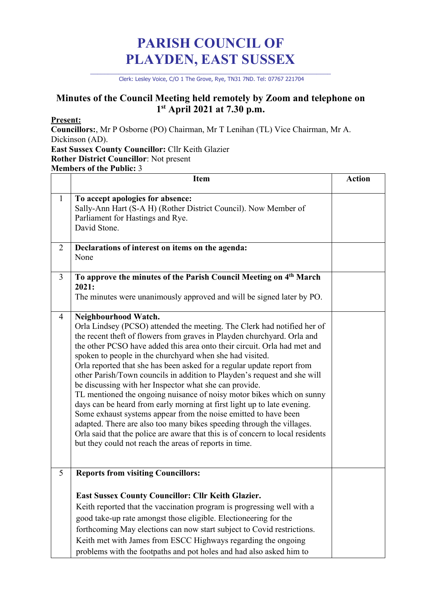## **PARISH COUNCIL OF PLAYDEN, EAST SUSSEX**

\_\_\_\_\_\_\_\_\_\_\_\_\_\_\_\_\_\_\_\_\_\_\_\_\_\_\_\_\_\_\_\_\_\_\_\_\_\_\_\_\_\_\_\_\_\_\_\_\_\_\_\_\_\_\_\_\_\_\_\_\_\_\_\_\_\_\_\_ Clerk: Lesley Voice, C/O 1 The Grove, Rye, TN31 7ND. Tel: 07767 221704

## **Minutes of the Council Meeting held remotely by Zoom and telephone on 1st April 2021 at 7.30 p.m.**

## **Present:**

**Councillors:**, Mr P Osborne (PO) Chairman, Mr T Lenihan (TL) Vice Chairman, Mr A. Dickinson (AD).

**East Sussex County Councillor:** Cllr Keith Glazier **Rother District Councillor**: Not present **Members of the Public:** 3

|                | <b>Item</b>                                                                                                                                                                                                                                                                                                                                                                                                                                                                                                                                                                                                                                                                                                                                                                                                                                                                                                                                                                    | <b>Action</b> |
|----------------|--------------------------------------------------------------------------------------------------------------------------------------------------------------------------------------------------------------------------------------------------------------------------------------------------------------------------------------------------------------------------------------------------------------------------------------------------------------------------------------------------------------------------------------------------------------------------------------------------------------------------------------------------------------------------------------------------------------------------------------------------------------------------------------------------------------------------------------------------------------------------------------------------------------------------------------------------------------------------------|---------------|
| $\mathbf{1}$   | To accept apologies for absence:<br>Sally-Ann Hart (S-A H) (Rother District Council). Now Member of<br>Parliament for Hastings and Rye.<br>David Stone.                                                                                                                                                                                                                                                                                                                                                                                                                                                                                                                                                                                                                                                                                                                                                                                                                        |               |
| $\overline{2}$ | Declarations of interest on items on the agenda:<br>None                                                                                                                                                                                                                                                                                                                                                                                                                                                                                                                                                                                                                                                                                                                                                                                                                                                                                                                       |               |
| 3              | To approve the minutes of the Parish Council Meeting on 4 <sup>th</sup> March<br>2021:<br>The minutes were unanimously approved and will be signed later by PO.                                                                                                                                                                                                                                                                                                                                                                                                                                                                                                                                                                                                                                                                                                                                                                                                                |               |
| $\overline{4}$ | Neighbourhood Watch.<br>Orla Lindsey (PCSO) attended the meeting. The Clerk had notified her of<br>the recent theft of flowers from graves in Playden churchyard. Orla and<br>the other PCSO have added this area onto their circuit. Orla had met and<br>spoken to people in the churchyard when she had visited.<br>Orla reported that she has been asked for a regular update report from<br>other Parish/Town councils in addition to Playden's request and she will<br>be discussing with her Inspector what she can provide.<br>TL mentioned the ongoing nuisance of noisy motor bikes which on sunny<br>days can be heard from early morning at first light up to late evening.<br>Some exhaust systems appear from the noise emitted to have been<br>adapted. There are also too many bikes speeding through the villages.<br>Orla said that the police are aware that this is of concern to local residents<br>but they could not reach the areas of reports in time. |               |
| 5              | <b>Reports from visiting Councillors:</b><br><b>East Sussex County Councillor: Cllr Keith Glazier.</b><br>Keith reported that the vaccination program is progressing well with a<br>good take-up rate amongst those eligible. Electioneering for the<br>forthcoming May elections can now start subject to Covid restrictions.<br>Keith met with James from ESCC Highways regarding the ongoing<br>problems with the footpaths and pot holes and had also asked him to                                                                                                                                                                                                                                                                                                                                                                                                                                                                                                         |               |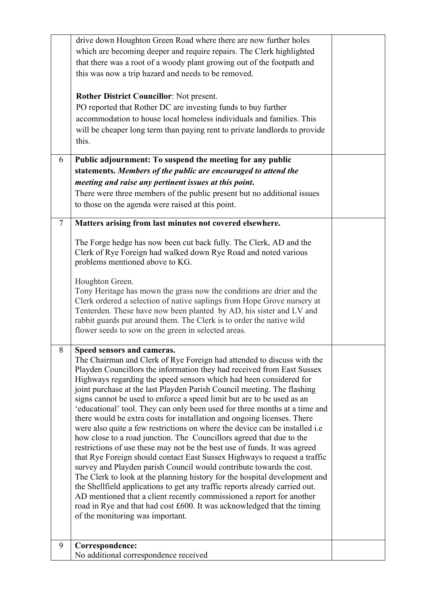|        | drive down Houghton Green Road where there are now further holes                                                                                     |  |
|--------|------------------------------------------------------------------------------------------------------------------------------------------------------|--|
|        | which are becoming deeper and require repairs. The Clerk highlighted                                                                                 |  |
|        | that there was a root of a woody plant growing out of the footpath and                                                                               |  |
|        | this was now a trip hazard and needs to be removed.                                                                                                  |  |
|        | Rother District Councillor: Not present.                                                                                                             |  |
|        | PO reported that Rother DC are investing funds to buy further                                                                                        |  |
|        | accommodation to house local homeless individuals and families. This                                                                                 |  |
|        | will be cheaper long term than paying rent to private landlords to provide                                                                           |  |
|        | this.                                                                                                                                                |  |
|        |                                                                                                                                                      |  |
| 6      | Public adjournment: To suspend the meeting for any public                                                                                            |  |
|        | statements. Members of the public are encouraged to attend the                                                                                       |  |
|        | meeting and raise any pertinent issues at this point.                                                                                                |  |
|        | There were three members of the public present but no additional issues                                                                              |  |
|        | to those on the agenda were raised at this point.                                                                                                    |  |
| $\tau$ | Matters arising from last minutes not covered elsewhere.                                                                                             |  |
|        |                                                                                                                                                      |  |
|        | The Forge hedge has now been cut back fully. The Clerk, AD and the                                                                                   |  |
|        | Clerk of Rye Foreign had walked down Rye Road and noted various                                                                                      |  |
|        | problems mentioned above to KG.                                                                                                                      |  |
|        | Houghton Green.                                                                                                                                      |  |
|        | Tony Heritage has mown the grass now the conditions are drier and the                                                                                |  |
|        | Clerk ordered a selection of native saplings from Hope Grove nursery at                                                                              |  |
|        | Tenterden. These have now been planted by AD, his sister and LV and                                                                                  |  |
|        | rabbit guards put around them. The Clerk is to order the native wild                                                                                 |  |
|        | flower seeds to sow on the green in selected areas.                                                                                                  |  |
| 8      | Speed sensors and cameras.                                                                                                                           |  |
|        | The Chairman and Clerk of Rye Foreign had attended to discuss with the                                                                               |  |
|        | Playden Councillors the information they had received from East Sussex                                                                               |  |
|        | Highways regarding the speed sensors which had been considered for                                                                                   |  |
|        | joint purchase at the last Playden Parish Council meeting. The flashing                                                                              |  |
|        | signs cannot be used to enforce a speed limit but are to be used as an<br>'educational' tool. They can only been used for three months at a time and |  |
|        | there would be extra costs for installation and ongoing licenses. There                                                                              |  |
|        | were also quite a few restrictions on where the device can be installed i.e.                                                                         |  |
|        | how close to a road junction. The Councillors agreed that due to the                                                                                 |  |
|        | restrictions of use these may not be the best use of funds. It was agreed                                                                            |  |
|        | that Rye Foreign should contact East Sussex Highways to request a traffic                                                                            |  |
|        | survey and Playden parish Council would contribute towards the cost.                                                                                 |  |
|        | The Clerk to look at the planning history for the hospital development and                                                                           |  |
|        | the Shellfield applications to get any traffic reports already carried out.                                                                          |  |
|        | AD mentioned that a client recently commissioned a report for another                                                                                |  |
|        | road in Rye and that had cost £600. It was acknowledged that the timing<br>of the monitoring was important.                                          |  |
|        |                                                                                                                                                      |  |
|        |                                                                                                                                                      |  |
| 9      | Correspondence:                                                                                                                                      |  |
|        | No additional correspondence received                                                                                                                |  |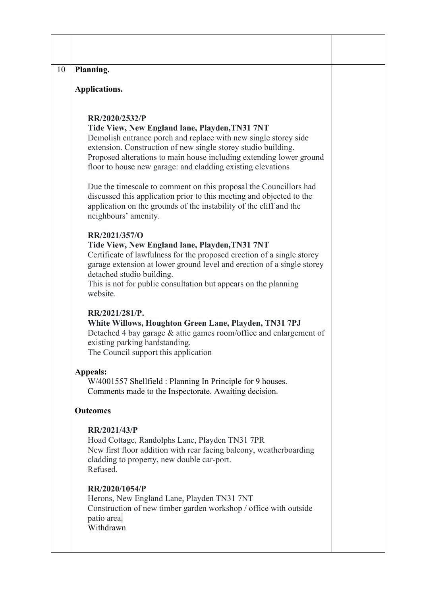| Planning.                                                                                                                |                                                                                                                                                                                                                                                                                                                                                                                                                                                                                                                                             |
|--------------------------------------------------------------------------------------------------------------------------|---------------------------------------------------------------------------------------------------------------------------------------------------------------------------------------------------------------------------------------------------------------------------------------------------------------------------------------------------------------------------------------------------------------------------------------------------------------------------------------------------------------------------------------------|
| Applications.                                                                                                            |                                                                                                                                                                                                                                                                                                                                                                                                                                                                                                                                             |
| RR/2020/2532/P                                                                                                           | Tide View, New England lane, Playden, TN31 7NT<br>Demolish entrance porch and replace with new single storey side<br>extension. Construction of new single storey studio building.<br>Proposed alterations to main house including extending lower ground<br>floor to house new garage: and cladding existing elevations<br>Due the timescale to comment on this proposal the Councillors had<br>discussed this application prior to this meeting and objected to the<br>application on the grounds of the instability of the cliff and the |
| neighbours' amenity.<br>RR/2021/357/O<br>detached studio building.<br>website.                                           | Tide View, New England lane, Playden, TN31 7NT<br>Certificate of lawfulness for the proposed erection of a single storey<br>garage extension at lower ground level and erection of a single storey<br>This is not for public consultation but appears on the planning                                                                                                                                                                                                                                                                       |
| RR/2021/281/P.<br>existing parking hardstanding.<br>The Council support this application                                 | White Willows, Houghton Green Lane, Playden, TN31 7PJ<br>Detached 4 bay garage $&$ attic games room/office and enlargement of                                                                                                                                                                                                                                                                                                                                                                                                               |
| Appeals:                                                                                                                 | W/4001557 Shellfield : Planning In Principle for 9 houses.<br>Comments made to the Inspectorate. Awaiting decision.                                                                                                                                                                                                                                                                                                                                                                                                                         |
| <b>Outcomes</b>                                                                                                          |                                                                                                                                                                                                                                                                                                                                                                                                                                                                                                                                             |
| RR/2021/43/P<br>Hoad Cottage, Randolphs Lane, Playden TN31 7PR<br>cladding to property, new double car-port.<br>Refused. | New first floor addition with rear facing balcony, weatherboarding                                                                                                                                                                                                                                                                                                                                                                                                                                                                          |
| RR/2020/1054/P<br>Herons, New England Lane, Playden TN31 7NT<br>patio area.<br>Withdrawn                                 | Construction of new timber garden workshop / office with outside                                                                                                                                                                                                                                                                                                                                                                                                                                                                            |